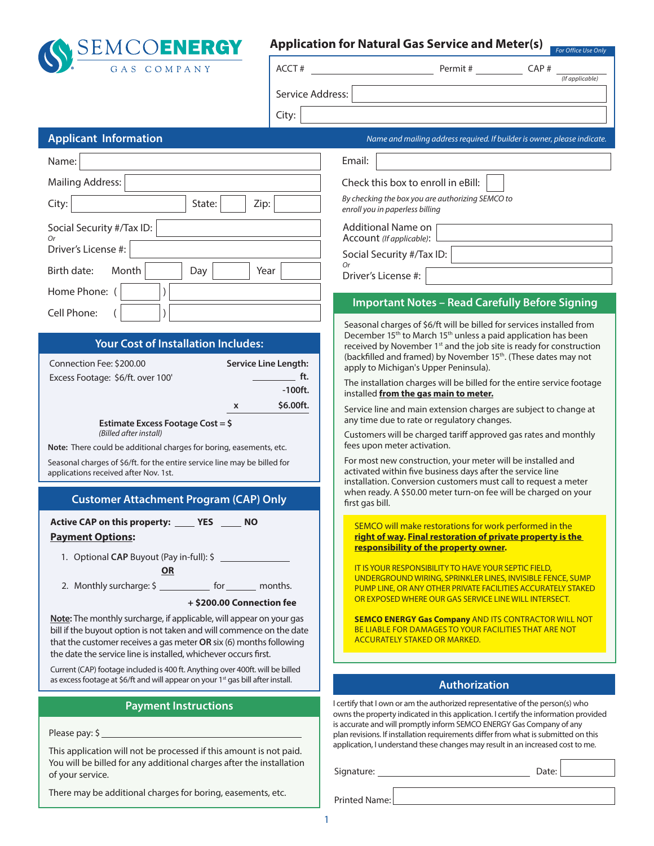

# **Application for Natural Gas Service and Meter(s)**

**For Office Use Or** 

| GAS COMPANY                                                                                                                                                                                                                                                                          | ACCT#                       | Permit #<br>CAP#<br>(If applicable)                                                                                                                                                                                                                      |  |  |  |  |
|--------------------------------------------------------------------------------------------------------------------------------------------------------------------------------------------------------------------------------------------------------------------------------------|-----------------------------|----------------------------------------------------------------------------------------------------------------------------------------------------------------------------------------------------------------------------------------------------------|--|--|--|--|
|                                                                                                                                                                                                                                                                                      | Service Address:            |                                                                                                                                                                                                                                                          |  |  |  |  |
|                                                                                                                                                                                                                                                                                      | City:                       |                                                                                                                                                                                                                                                          |  |  |  |  |
| <b>Applicant Information</b>                                                                                                                                                                                                                                                         |                             | Name and mailing address required. If builder is owner, please indicate.                                                                                                                                                                                 |  |  |  |  |
| Name:                                                                                                                                                                                                                                                                                |                             | Email:                                                                                                                                                                                                                                                   |  |  |  |  |
| <b>Mailing Address:</b>                                                                                                                                                                                                                                                              |                             | Check this box to enroll in eBill:                                                                                                                                                                                                                       |  |  |  |  |
| State:<br>Zip:<br>City:                                                                                                                                                                                                                                                              |                             | By checking the box you are authorizing SEMCO to<br>enroll you in paperless billing                                                                                                                                                                      |  |  |  |  |
| Social Security #/Tax ID:                                                                                                                                                                                                                                                            |                             | Additional Name on<br>Account (If applicable):                                                                                                                                                                                                           |  |  |  |  |
| Driver's License #:                                                                                                                                                                                                                                                                  |                             | Social Security #/Tax ID:                                                                                                                                                                                                                                |  |  |  |  |
| Birth date:<br>Month<br>Day                                                                                                                                                                                                                                                          | Year                        | <b>Or</b><br>Driver's License #:                                                                                                                                                                                                                         |  |  |  |  |
| Home Phone: (                                                                                                                                                                                                                                                                        |                             | <b>Important Notes - Read Carefully Before Signing</b>                                                                                                                                                                                                   |  |  |  |  |
| Cell Phone:                                                                                                                                                                                                                                                                          |                             | Seasonal charges of \$6/ft will be billed for services installed from                                                                                                                                                                                    |  |  |  |  |
| <b>Your Cost of Installation Includes:</b><br>Connection Fee: \$200.00                                                                                                                                                                                                               | <b>Service Line Length:</b> | December 15 <sup>th</sup> to March 15 <sup>th</sup> unless a paid application has been<br>received by November 1 <sup>st</sup> and the job site is ready for construction<br>(backfilled and framed) by November 15 <sup>th</sup> . (These dates may not |  |  |  |  |
| Excess Footage: \$6/ft. over 100'                                                                                                                                                                                                                                                    | ft.<br>$-100$ ft.           | apply to Michigan's Upper Peninsula).<br>The installation charges will be billed for the entire service footage<br>installed from the gas main to meter.                                                                                                 |  |  |  |  |
| x<br>Estimate Excess Footage Cost = \$                                                                                                                                                                                                                                               | \$6.00ft.                   | Service line and main extension charges are subject to change at<br>any time due to rate or regulatory changes.                                                                                                                                          |  |  |  |  |
| (Billed after install)<br>Note: There could be additional charges for boring, easements, etc.                                                                                                                                                                                        |                             | Customers will be charged tariff approved gas rates and monthly<br>fees upon meter activation.                                                                                                                                                           |  |  |  |  |
| Seasonal charges of \$6/ft. for the entire service line may be billed for<br>applications received after Nov. 1st.                                                                                                                                                                   |                             | For most new construction, your meter will be installed and<br>activated within five business days after the service line<br>installation. Conversion customers must call to request a meter                                                             |  |  |  |  |
| <b>Customer Attachment Program (CAP) Only</b>                                                                                                                                                                                                                                        |                             | when ready. A \$50.00 meter turn-on fee will be charged on your<br>first gas bill.                                                                                                                                                                       |  |  |  |  |
| Active CAP on this property: _______ YES ______ NO<br><b>Payment Options:</b><br>1. Optional CAP Buyout (Pay in-full): \$                                                                                                                                                            |                             | SEMCO will make restorations for work performed in the<br>right of way. Final restoration of private property is the<br>responsibility of the property owner.                                                                                            |  |  |  |  |
| <b>OR</b><br>2. Monthly surcharge: \$ _____________ for ________ months.<br>+ \$200.00 Connection fee                                                                                                                                                                                |                             | IT IS YOUR RESPONSIBILITY TO HAVE YOUR SEPTIC FIELD.<br>UNDERGROUND WIRING, SPRINKLER LINES, INVISIBLE FENCE, SUMP<br>PUMP LINE, OR ANY OTHER PRIVATE FACILITIES ACCURATELY STAKED<br>OR EXPOSED WHERE OUR GAS SERVICE LINE WILL INTERSECT.              |  |  |  |  |
| Note: The monthly surcharge, if applicable, will appear on your gas<br>bill if the buyout option is not taken and will commence on the date<br>that the customer receives a gas meter OR six (6) months following<br>the date the service line is installed, whichever occurs first. |                             | <b>SEMCO ENERGY Gas Company AND ITS CONTRACTOR WILL NOT</b><br>BE LIABLE FOR DAMAGES TO YOUR FACILITIES THAT ARE NOT<br><b>ACCURATELY STAKED OR MARKED.</b>                                                                                              |  |  |  |  |
| Current (CAP) footage included is 400 ft. Anything over 400ft. will be billed<br>as excess footage at \$6/ft and will appear on your 1 <sup>st</sup> gas bill after install.                                                                                                         |                             |                                                                                                                                                                                                                                                          |  |  |  |  |
|                                                                                                                                                                                                                                                                                      |                             | <b>Authorization</b>                                                                                                                                                                                                                                     |  |  |  |  |
| <b>Payment Instructions</b><br>Please pay: \$                                                                                                                                                                                                                                        |                             | I certify that I own or am the authorized representative of the person(s) who<br>owns the property indicated in this application. I certify the information provided<br>is accurate and will promptly inform SEMCO ENERGY Gas Company of any             |  |  |  |  |
| This application will not be processed if this amount is not paid.                                                                                                                                                                                                                   |                             | plan revisions. If installation requirements differ from what is submitted on this<br>application, I understand these changes may result in an increased cost to me.                                                                                     |  |  |  |  |
| You will be billed for any additional charges after the installation<br>of your service.                                                                                                                                                                                             |                             | Date:                                                                                                                                                                                                                                                    |  |  |  |  |
| There may be additional charges for boring, easements, etc.                                                                                                                                                                                                                          |                             | Printed Name:                                                                                                                                                                                                                                            |  |  |  |  |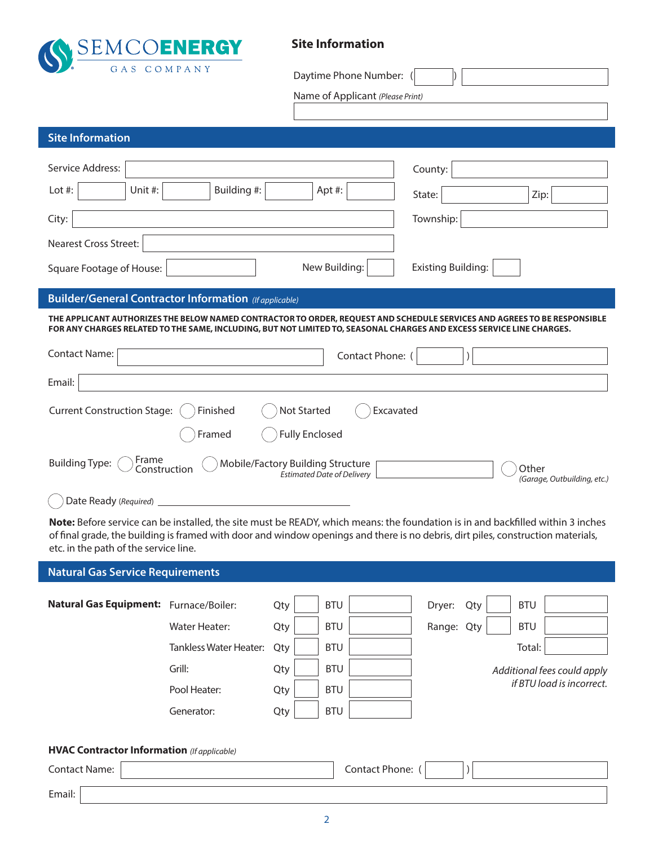

**Site Information**

| $\bullet$ ) $\bullet$<br>GAS COMPANY                                                                                                                                                                                                                                                                         | Daytime Phone Number:                                                  |                                      |  |  |  |
|--------------------------------------------------------------------------------------------------------------------------------------------------------------------------------------------------------------------------------------------------------------------------------------------------------------|------------------------------------------------------------------------|--------------------------------------|--|--|--|
|                                                                                                                                                                                                                                                                                                              | Name of Applicant (Please Print)                                       |                                      |  |  |  |
| <b>Site Information</b>                                                                                                                                                                                                                                                                                      |                                                                        |                                      |  |  |  |
| Service Address:<br>Building #:<br>Lot #:<br>Unit #:                                                                                                                                                                                                                                                         | Apt #:                                                                 | County:<br>State:<br>Zip:            |  |  |  |
| City:                                                                                                                                                                                                                                                                                                        |                                                                        | Township:                            |  |  |  |
| Nearest Cross Street:<br>Square Footage of House:                                                                                                                                                                                                                                                            | New Building:                                                          | <b>Existing Building:</b>            |  |  |  |
| <b>Builder/General Contractor Information</b> (If applicable)                                                                                                                                                                                                                                                |                                                                        |                                      |  |  |  |
| THE APPLICANT AUTHORIZES THE BELOW NAMED CONTRACTOR TO ORDER, REQUEST AND SCHEDULE SERVICES AND AGREES TO BE RESPONSIBLE<br>FOR ANY CHARGES RELATED TO THE SAME, INCLUDING, BUT NOT LIMITED TO, SEASONAL CHARGES AND EXCESS SERVICE LINE CHARGES.                                                            |                                                                        |                                      |  |  |  |
| Contact Name:                                                                                                                                                                                                                                                                                                | Contact Phone: (                                                       |                                      |  |  |  |
| Email:                                                                                                                                                                                                                                                                                                       |                                                                        |                                      |  |  |  |
| <b>Current Construction Stage:</b><br>Finished<br>Framed                                                                                                                                                                                                                                                     | <b>Not Started</b><br>Excavated<br><b>Fully Enclosed</b>               |                                      |  |  |  |
| Frame<br><b>Building Type:</b><br>Construction                                                                                                                                                                                                                                                               | Mobile/Factory Building Structure<br><b>Éstimated Date of Delivery</b> | Other<br>(Garage, Outbuilding, etc.) |  |  |  |
| Date Ready (Required)                                                                                                                                                                                                                                                                                        |                                                                        |                                      |  |  |  |
| Note: Before service can be installed, the site must be READY, which means: the foundation is in and backfilled within 3 inches<br>of final grade, the building is framed with door and window openings and there is no debris, dirt piles, construction materials,<br>etc. in the path of the service line. |                                                                        |                                      |  |  |  |

# **Natural Gas Service Requirements**

| Natural Gas Equipment: Furnace/Boiler:             |                               | Qty | <b>BTU</b> | Dryer:<br>Qty | <b>BTU</b>                  |  |
|----------------------------------------------------|-------------------------------|-----|------------|---------------|-----------------------------|--|
|                                                    | Water Heater:                 | Qty | <b>BTU</b> | Range: Qty    | <b>BTU</b>                  |  |
|                                                    | <b>Tankless Water Heater:</b> | Qty | <b>BTU</b> |               | Total:                      |  |
|                                                    | Grill:                        | Qty | <b>BTU</b> |               | Additional fees could apply |  |
|                                                    | Pool Heater:                  | Qty | <b>BTU</b> |               | if BTU load is incorrect.   |  |
|                                                    | Generator:                    | Qty | <b>BTU</b> |               |                             |  |
|                                                    |                               |     |            |               |                             |  |
| <b>HVAC Contractor Information</b> (If applicable) |                               |     |            |               |                             |  |

Contact Phone: ( ) Email: Contact Name: